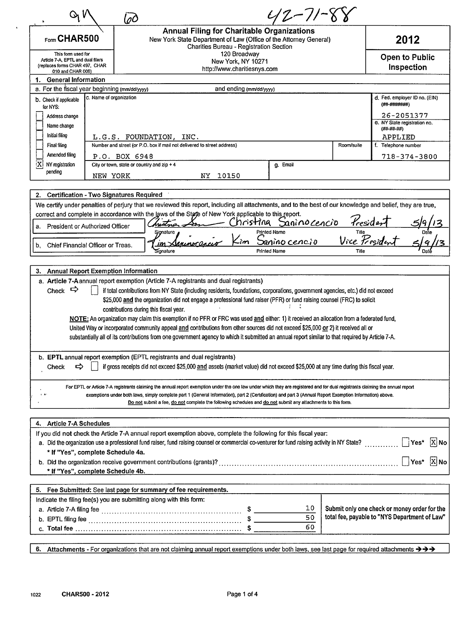| Q V                                                  |                                                                                                                                                                | nC |                                                                                                                                                                                                                                                                    |                                                | $42 - 11 -$                  |                        |                                                             |
|------------------------------------------------------|----------------------------------------------------------------------------------------------------------------------------------------------------------------|----|--------------------------------------------------------------------------------------------------------------------------------------------------------------------------------------------------------------------------------------------------------------------|------------------------------------------------|------------------------------|------------------------|-------------------------------------------------------------|
| $F_{\text{form}}$ CHAR500                            |                                                                                                                                                                |    | <b>Annual Filing for Charitable Organizations</b><br>New York State Department of Law (Office of the Attorney General)                                                                                                                                             | <b>Charities Bureau - Registration Section</b> |                              |                        | 2012                                                        |
| 010 and CHAR 006)                                    | 120 Broadway<br>This form used for<br>Article 7-A. EPTL and dual filers<br>New York, NY 10271<br>(replaces forms CHAR 497, CHAR<br>http://www.charitiesnys.com |    |                                                                                                                                                                                                                                                                    |                                                |                              |                        |                                                             |
| 1. General Information                               |                                                                                                                                                                |    |                                                                                                                                                                                                                                                                    |                                                |                              |                        |                                                             |
| a. For the fiscal year beginning (mm/dd/yyyy)        |                                                                                                                                                                |    |                                                                                                                                                                                                                                                                    | and ending (mm/dd/yyyy)                        |                              |                        |                                                             |
| b. Check if applicable<br>for NYS:<br>Address change | c. Name of organization                                                                                                                                        |    |                                                                                                                                                                                                                                                                    |                                                |                              |                        | d. Fed. employer ID no. (EIN)<br>(##-#######)<br>26-2051377 |
| Name change                                          |                                                                                                                                                                |    |                                                                                                                                                                                                                                                                    |                                                |                              |                        | e. NY State registration no.                                |
| Initial filing                                       |                                                                                                                                                                |    | L.G.S. FOUNDATION, INC.                                                                                                                                                                                                                                            |                                                |                              |                        | $($ ##-##-##)<br>APPLIED                                    |
| Final filing                                         |                                                                                                                                                                |    | Number and street (or P.O. box if mail not delivered to street address)                                                                                                                                                                                            |                                                |                              | Room/suite             | f. Telephone number                                         |
| Amended filing                                       | P.O. BOX 6948                                                                                                                                                  |    |                                                                                                                                                                                                                                                                    |                                                |                              |                        | 718-374-3800                                                |
| 'X<br>NY registration                                |                                                                                                                                                                |    | City or town, state or country and $zip + 4$                                                                                                                                                                                                                       |                                                | g. Email                     |                        |                                                             |
| pending                                              | NEW YORK                                                                                                                                                       |    | NY.                                                                                                                                                                                                                                                                | 10150                                          |                              |                        |                                                             |
|                                                      |                                                                                                                                                                |    |                                                                                                                                                                                                                                                                    |                                                |                              |                        |                                                             |
| 2. Certification - Two Signatures Required           |                                                                                                                                                                |    |                                                                                                                                                                                                                                                                    |                                                |                              |                        |                                                             |
|                                                      |                                                                                                                                                                |    | We certify under penalties of perjury that we reviewed this report, including all attachments, and to the best of our knowledge and belief, they are true,<br>correct and complete in accordance with the laws of the State of New York applicable to this report. |                                                |                              |                        |                                                             |
| a. President or Authorized Officer                   |                                                                                                                                                                |    | hrstna                                                                                                                                                                                                                                                             | <u>'</u> hristina                              | Saninocencio<br>Printed Name | Kreside                |                                                             |
|                                                      |                                                                                                                                                                |    | Sionature                                                                                                                                                                                                                                                          |                                                | Sanino cencio                | Tille<br>Vice Presiden |                                                             |
| Chief Financial Officer or Treas.<br>b.              |                                                                                                                                                                |    | sionature                                                                                                                                                                                                                                                          |                                                | <b>Printed Name</b>          |                        |                                                             |
|                                                      |                                                                                                                                                                |    |                                                                                                                                                                                                                                                                    |                                                |                              |                        |                                                             |
| 3. Annual Report Exemption Information               |                                                                                                                                                                |    |                                                                                                                                                                                                                                                                    |                                                |                              |                        |                                                             |
|                                                      |                                                                                                                                                                |    | a. Article 7-A annual report exemption (Article 7-A registrants and dual registrants)                                                                                                                                                                              |                                                |                              |                        |                                                             |
| Check $\Rightarrow$                                  |                                                                                                                                                                |    | if total contributions from NY State (including residents, foundations, corporations, government agencies, etc.) did not exceed<br>\$25,000 and the organization did not engage a professional fund raiser (PFR) or fund raising counsel (FRC) to solicit          |                                                |                              |                        |                                                             |
|                                                      |                                                                                                                                                                |    | contributions during this fiscal year.                                                                                                                                                                                                                             |                                                |                              |                        |                                                             |
|                                                      |                                                                                                                                                                |    | NOTE: An organization may claim this exemption if no PFR or FRC was used and either: 1) it received an allocation from a federated fund,                                                                                                                           |                                                |                              |                        |                                                             |
|                                                      |                                                                                                                                                                |    | United Way or incorporated community appeal and contributions from other sources did not exceed \$25,000 or 2) it received all or                                                                                                                                  |                                                |                              |                        |                                                             |
|                                                      |                                                                                                                                                                |    | substantially all of its contributions from one government agency to which it submitted an annual report similar to that required by Article 7-A.                                                                                                                  |                                                |                              |                        |                                                             |
|                                                      |                                                                                                                                                                |    |                                                                                                                                                                                                                                                                    |                                                |                              |                        |                                                             |
| ⇨<br>Check                                           |                                                                                                                                                                |    | b. EPTL annual report exemption (EPTL registrants and dual registrants)<br>if gross receipts did not exceed \$25,000 and assets (market value) did not exceed \$25,000 at any time during this fiscal year.                                                        |                                                |                              |                        |                                                             |
|                                                      |                                                                                                                                                                |    | For EPTL or Article 7-A registrants claiming the annual report exemption under the one law under which they are registered and for dual registrants claiming the annual report                                                                                     |                                                |                              |                        |                                                             |
| i A                                                  |                                                                                                                                                                |    | exemptions under both laws, simply complete part 1 (General Information), part 2 (Certification) and part 3 (Annual Report Exemption Information) above.                                                                                                           |                                                |                              |                        |                                                             |
|                                                      |                                                                                                                                                                |    | Do not submit a fee, do not complete the following schedules and do not submit any attachments to this form.                                                                                                                                                       |                                                |                              |                        |                                                             |
|                                                      |                                                                                                                                                                |    |                                                                                                                                                                                                                                                                    |                                                |                              |                        |                                                             |
| 4. Article 7-A Schedules                             |                                                                                                                                                                |    |                                                                                                                                                                                                                                                                    |                                                |                              |                        |                                                             |
|                                                      |                                                                                                                                                                |    | If you did not check the Article 7-A annual report exemption above, complete the following for this fiscal year:                                                                                                                                                   |                                                |                              |                        |                                                             |
|                                                      |                                                                                                                                                                |    | a. Did the organization use a professional fund raiser, fund raising counsel or commercial co-venturer for fund raising activity in NY State?                                                                                                                      |                                                |                              |                        | $\bigcup$ Yes* $\big $ X No                                 |
| * If "Yes", complete Schedule 4a.                    |                                                                                                                                                                |    |                                                                                                                                                                                                                                                                    |                                                |                              |                        | $\bigcap$ Yes* $[X]$ No                                     |
| * If "Yes", complete Schedule 4b.                    |                                                                                                                                                                |    |                                                                                                                                                                                                                                                                    |                                                |                              |                        |                                                             |
|                                                      |                                                                                                                                                                |    |                                                                                                                                                                                                                                                                    |                                                |                              |                        |                                                             |
|                                                      |                                                                                                                                                                |    | 5. Fee Submitted: See last page for summary of fee requirements.                                                                                                                                                                                                   |                                                |                              |                        |                                                             |
|                                                      |                                                                                                                                                                |    | Indicate the filing fee(s) you are submitting along with this form:                                                                                                                                                                                                |                                                |                              |                        |                                                             |
|                                                      |                                                                                                                                                                |    |                                                                                                                                                                                                                                                                    |                                                | 10                           |                        | Submit only one check or money order for the                |
|                                                      |                                                                                                                                                                |    |                                                                                                                                                                                                                                                                    |                                                | 50                           |                        | total fee, payable to "NYS Department of Law"               |
|                                                      |                                                                                                                                                                |    |                                                                                                                                                                                                                                                                    |                                                | 60                           |                        |                                                             |
|                                                      |                                                                                                                                                                |    |                                                                                                                                                                                                                                                                    |                                                |                              |                        |                                                             |
| 6.                                                   |                                                                                                                                                                |    | Attachments - For organizations that are not claiming annual report exemptions under both laws, see last page for required attachments → > >                                                                                                                       |                                                |                              |                        |                                                             |

 $\ddot{\phantom{0}}$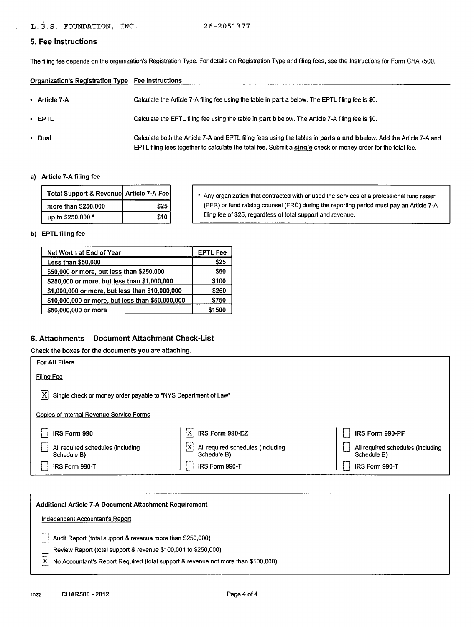## **5. Fee Instructions**

The filing fee depends on the organization's Registration Type. For details on Registration Type and filing fees, see the Instructions for Form CHAR500.

| Organization's Registration Type Fee Instructions |                                                                                                                                                                                                                                       |
|---------------------------------------------------|---------------------------------------------------------------------------------------------------------------------------------------------------------------------------------------------------------------------------------------|
| • Article $7-A$                                   | Calculate the Article 7-A filing fee using the table in part a below. The EPTL filing fee is \$0.                                                                                                                                     |
| $\cdot$ EPTL                                      | Calculate the EPTL filing fee using the table in part b below. The Article 7-A filing fee is \$0.                                                                                                                                     |
| • Dual                                            | Calculate both the Article 7-A and EPTL filing fees using the tables in parts a and b below. Add the Article 7-A and<br>EPTL filing fees together to calculate the total fee. Submit a single check or money order for the total fee. |

#### a) Article 7-A filing fee

| Total Support & Revenue Article 7-A Fee |      |
|-----------------------------------------|------|
| more than \$250,000                     | \$25 |
| up to \$250,000 *                       | \$10 |

\* Any organization that contracted with or used the services of a professional fund raiser (PFR) or fund raising counsel (FRC) during the reporting period must pay an Article 7-A filing fee of \$25, regardless of total support and revenue.

# b) EPTL filing fee

| Net Worth at End of Year                         | <b>EPTL Fee</b> |
|--------------------------------------------------|-----------------|
| Less than \$50,000                               | \$25            |
| \$50,000 or more, but less than \$250,000        | \$50            |
| \$250,000 or more, but less than \$1,000,000     | \$100           |
| \$1,000,000 or more, but less than \$10,000,000  | \$250           |
| \$10,000,000 or more, but less than \$50,000,000 | \$750           |
| \$50,000,000 or more                             | \$1500          |

### **6. Attachments - Document Attachment Check-List**

#### Check the boxes for the documents you are attaching.

| For All Filers                                                       |                                                                  |                                                  |  |  |  |  |  |  |
|----------------------------------------------------------------------|------------------------------------------------------------------|--------------------------------------------------|--|--|--|--|--|--|
| <b>Filing Fee</b>                                                    |                                                                  |                                                  |  |  |  |  |  |  |
| X <br>Single check or money order payable to "NYS Department of Law" |                                                                  |                                                  |  |  |  |  |  |  |
| Copies of Internal Revenue Service Forms                             |                                                                  |                                                  |  |  |  |  |  |  |
| IRS Form 990                                                         | $\mathbf{X}$<br>IRS Form 990-EZ                                  | IRS Form 990-PF                                  |  |  |  |  |  |  |
| All required schedules (including<br>Schedule B)                     | $\mathbf{X}$<br>All required schedules (including<br>Schedule B) | All required schedules (including<br>Schedule B) |  |  |  |  |  |  |
| IRS Form 990-T                                                       | IRS Form 990-T                                                   | IRS Form 990-T                                   |  |  |  |  |  |  |

| Additional Article 7-A Document Attachment Requirement                            |  |  |  |  |  |  |  |
|-----------------------------------------------------------------------------------|--|--|--|--|--|--|--|
| Independent Accountant's Report                                                   |  |  |  |  |  |  |  |
| Audit Report (total support & revenue more than \$250,000)<br>$-$                 |  |  |  |  |  |  |  |
| Review Report (total support & revenue \$100,001 to \$250,000)                    |  |  |  |  |  |  |  |
| No Accountant's Report Required (total support & revenue not more than \$100,000) |  |  |  |  |  |  |  |
|                                                                                   |  |  |  |  |  |  |  |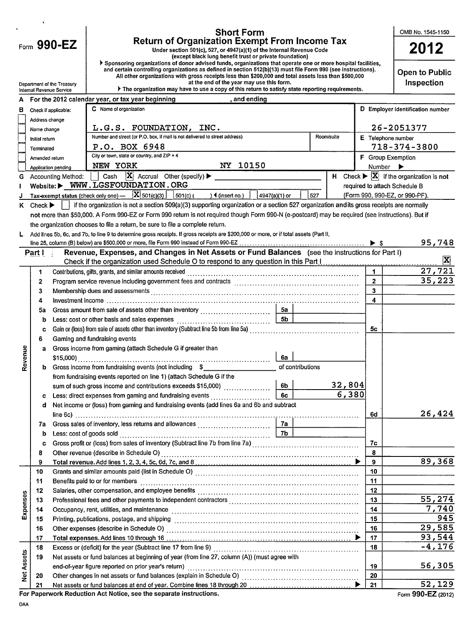|                   |                             |                                                                         | <b>Short Form</b>                                                                                                                                                                                                             |                         |                              | OMB No. 1545-1150                                                        |  |  |  |  |  |
|-------------------|-----------------------------|-------------------------------------------------------------------------|-------------------------------------------------------------------------------------------------------------------------------------------------------------------------------------------------------------------------------|-------------------------|------------------------------|--------------------------------------------------------------------------|--|--|--|--|--|
|                   |                             | <b>Return of Organization Exempt From Income Tax</b><br>Form $990 - EZ$ |                                                                                                                                                                                                                               |                         |                              |                                                                          |  |  |  |  |  |
|                   |                             |                                                                         | Under section 501(c), 527, or 4947(a)(1) of the Internal Revenue Code<br>(except black lung benefit trust or private foundation)                                                                                              |                         |                              | 2012                                                                     |  |  |  |  |  |
|                   |                             |                                                                         | Sponsoring organizations of donor advised funds, organizations that operate one or more hospital facilities,<br>and certain controlling organizations as defined in section 512(b)(13) must file Form 990 (see instructions). |                         |                              |                                                                          |  |  |  |  |  |
|                   |                             |                                                                         |                                                                                                                                                                                                                               | <b>Open to Public</b>   |                              |                                                                          |  |  |  |  |  |
|                   |                             | Department of the Treasury                                              | All other organizations with gross receipts less than \$200,000 and total assets less than \$500,000<br>at the end of the year may use this form.                                                                             |                         |                              |                                                                          |  |  |  |  |  |
|                   |                             | Internal Revenue Service                                                | The organization may have to use a copy of this return to satisfy state reporting requirements.                                                                                                                               |                         |                              |                                                                          |  |  |  |  |  |
| A                 |                             |                                                                         | For the 2012 calendar year, or tax year beginning and ending and ending                                                                                                                                                       |                         |                              |                                                                          |  |  |  |  |  |
| в                 |                             | Check if applicable:                                                    | C Name of organization                                                                                                                                                                                                        |                         |                              | D Employer identification number                                         |  |  |  |  |  |
|                   | Address change              |                                                                         |                                                                                                                                                                                                                               |                         |                              |                                                                          |  |  |  |  |  |
|                   | Name change                 |                                                                         | L.G.S. FOUNDATION, INC.<br>Number and street (or P.O. box, if mail is not delivered to street address)<br>Room/suite                                                                                                          |                         |                              | 26-2051377                                                               |  |  |  |  |  |
|                   | Initial return              |                                                                         | P.O. BOX 6948                                                                                                                                                                                                                 |                         |                              | E Telephone number<br>718-374-3800                                       |  |  |  |  |  |
|                   | Terminated                  |                                                                         | City or town, state or country, and ZIP + 4                                                                                                                                                                                   |                         |                              |                                                                          |  |  |  |  |  |
|                   | Amended return              |                                                                         | NY 10150<br>NEW YORK                                                                                                                                                                                                          |                         | Number $\blacktriangleright$ | F Group Exemption                                                        |  |  |  |  |  |
| G                 |                             | Application pending<br>Accounting Method:                               |                                                                                                                                                                                                                               |                         |                              | H Check $\blacktriangleright$ $\vert X \vert$ if the organization is not |  |  |  |  |  |
|                   |                             |                                                                         | Website: WWW.LGSFOUNDATION.ORG                                                                                                                                                                                                |                         |                              | required to attach Schedule B                                            |  |  |  |  |  |
|                   |                             |                                                                         | Tax-exempt status (check only one) $\overline{X}$ 501(c)(3) $\overline{S}$ 501(c) (<br>527<br>$\rightarrow$ (insert no.)  <br>$4947(a)(1)$ or                                                                                 |                         |                              | (Form 990, 990-EZ, or 990-PF).                                           |  |  |  |  |  |
| K.                | Check $\blacktriangleright$ |                                                                         | if the organization is not a section 509(a)(3) supporting organization or a section 527 organization and its gross receipts are normally                                                                                      |                         |                              |                                                                          |  |  |  |  |  |
|                   |                             |                                                                         | not more than \$50,000. A Form 990-EZ or Form 990 return is not required though Form 990-N (e-postcard) may be required (see instructions). But if                                                                            |                         |                              |                                                                          |  |  |  |  |  |
|                   |                             |                                                                         | the organization chooses to file a return, be sure to file a complete return.                                                                                                                                                 |                         |                              |                                                                          |  |  |  |  |  |
|                   |                             |                                                                         | Add lines 5b, 6c, and 7b, to line 9 to determine gross receipts. If gross receipts are \$200,000 or more, or if total assets (Part II,                                                                                        |                         |                              |                                                                          |  |  |  |  |  |
|                   |                             |                                                                         |                                                                                                                                                                                                                               |                         |                              | 95,748                                                                   |  |  |  |  |  |
|                   | Part I                      |                                                                         | Revenue, Expenses, and Changes in Net Assets or Fund Balances (see the instructions for Part I)                                                                                                                               |                         |                              |                                                                          |  |  |  |  |  |
|                   |                             |                                                                         |                                                                                                                                                                                                                               |                         |                              | $\mathbf{x}$                                                             |  |  |  |  |  |
|                   | 1                           |                                                                         | Contributions, gifts, grants, and similar amounts received                                                                                                                                                                    |                         |                              | 27,721                                                                   |  |  |  |  |  |
|                   | 2                           |                                                                         |                                                                                                                                                                                                                               |                         | $\overline{2}$               | 35,223                                                                   |  |  |  |  |  |
|                   | 3                           |                                                                         |                                                                                                                                                                                                                               | $\overline{\mathbf{3}}$ |                              |                                                                          |  |  |  |  |  |
|                   | 4                           |                                                                         |                                                                                                                                                                                                                               |                         | 4                            |                                                                          |  |  |  |  |  |
|                   | 5a                          |                                                                         |                                                                                                                                                                                                                               |                         |                              |                                                                          |  |  |  |  |  |
|                   | b                           |                                                                         |                                                                                                                                                                                                                               |                         |                              |                                                                          |  |  |  |  |  |
|                   | c                           |                                                                         |                                                                                                                                                                                                                               |                         | 5c                           |                                                                          |  |  |  |  |  |
|                   | 6                           | Gaming and fundraising events                                           |                                                                                                                                                                                                                               |                         |                              |                                                                          |  |  |  |  |  |
|                   | a                           |                                                                         | Gross income from gaming (attach Schedule G if greater than                                                                                                                                                                   |                         |                              |                                                                          |  |  |  |  |  |
| venue             |                             |                                                                         | 6а                                                                                                                                                                                                                            |                         |                              |                                                                          |  |  |  |  |  |
| ၕ                 | b                           |                                                                         | Gross income from fundraising events (not including $$$<br>of contributions                                                                                                                                                   |                         |                              |                                                                          |  |  |  |  |  |
|                   |                             |                                                                         | from fundraising events reported on line 1) (attach Schedule G if the                                                                                                                                                         |                         |                              |                                                                          |  |  |  |  |  |
|                   |                             |                                                                         | 6 <sub>b</sub><br>sum of such gross income and contributions exceeds \$15,000)                                                                                                                                                | 32,804                  |                              |                                                                          |  |  |  |  |  |
|                   | c                           |                                                                         | 6c                                                                                                                                                                                                                            | 6,380                   |                              |                                                                          |  |  |  |  |  |
|                   | d                           |                                                                         | Net income or (loss) from gaming and fundraising events (add lines 6a and 6b and subtract                                                                                                                                     |                         |                              | 26,424                                                                   |  |  |  |  |  |
|                   |                             |                                                                         | 7a                                                                                                                                                                                                                            |                         | 6d                           |                                                                          |  |  |  |  |  |
|                   | 7a                          |                                                                         | Gross sales of inventory, less returns and allowances<br>7Ь<br>Less: cost of goods sold                                                                                                                                       |                         |                              |                                                                          |  |  |  |  |  |
|                   | b                           |                                                                         | Gross profit or (loss) from sales of inventory (Subtract line 7b from line 7a) [[[[[[[[[[[[[[[[[[[[[[[[[[[[[[[                                                                                                                |                         | 7с                           |                                                                          |  |  |  |  |  |
|                   | c<br>8                      |                                                                         |                                                                                                                                                                                                                               |                         | 8                            |                                                                          |  |  |  |  |  |
|                   | 9                           |                                                                         |                                                                                                                                                                                                                               |                         | 9                            | 89,368                                                                   |  |  |  |  |  |
|                   | 10                          |                                                                         |                                                                                                                                                                                                                               |                         | 10                           |                                                                          |  |  |  |  |  |
|                   | 11                          |                                                                         | Benefits paid to or for members                                                                                                                                                                                               |                         | 11                           |                                                                          |  |  |  |  |  |
|                   | 12                          |                                                                         |                                                                                                                                                                                                                               |                         | 12                           |                                                                          |  |  |  |  |  |
| Expenses          | 13                          |                                                                         |                                                                                                                                                                                                                               |                         | 13                           | 55,274                                                                   |  |  |  |  |  |
|                   | 14                          |                                                                         |                                                                                                                                                                                                                               |                         | 14                           | 7,740                                                                    |  |  |  |  |  |
|                   | 15                          |                                                                         |                                                                                                                                                                                                                               |                         | 15                           | 945                                                                      |  |  |  |  |  |
|                   | 16                          |                                                                         |                                                                                                                                                                                                                               |                         | 16                           | 29,585                                                                   |  |  |  |  |  |
|                   | 17                          |                                                                         |                                                                                                                                                                                                                               |                         | 17                           | 93,544                                                                   |  |  |  |  |  |
|                   | 18                          |                                                                         |                                                                                                                                                                                                                               |                         | 18                           | $-4, 176$                                                                |  |  |  |  |  |
|                   | 19                          |                                                                         | Net assets or fund balances at beginning of year (from line 27, column (A)) (must agree with                                                                                                                                  |                         |                              |                                                                          |  |  |  |  |  |
| <b>Net Assets</b> |                             |                                                                         |                                                                                                                                                                                                                               |                         | 19                           | 56,305                                                                   |  |  |  |  |  |
|                   | 20                          |                                                                         |                                                                                                                                                                                                                               |                         | 20                           |                                                                          |  |  |  |  |  |
|                   | 21                          |                                                                         |                                                                                                                                                                                                                               |                         | 21                           | 52,129                                                                   |  |  |  |  |  |
|                   |                             |                                                                         | For Paperwork Reduction Act Notice, see the separate instructions.                                                                                                                                                            |                         |                              | Form 990-EZ (2012)                                                       |  |  |  |  |  |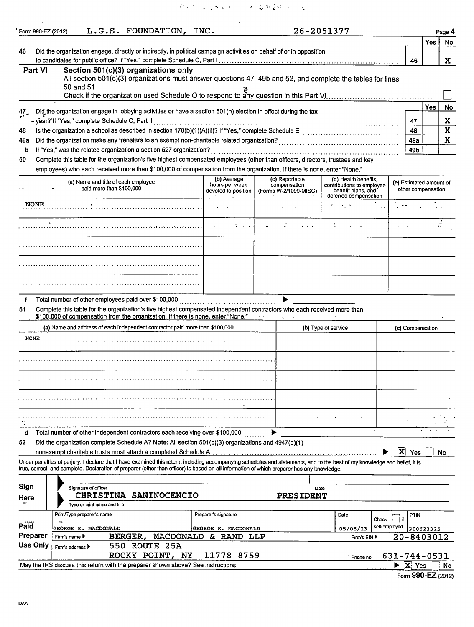网络西亚亚斯威利 人名福斯盖特 化四碳

| Form 990-EZ (2012) |                   |                                               | L.G.S. FOUNDATION, INC.                                                                                                                                                                                                                                                                                                  |                                             | 26-2051377                            |                     |                                                                          |               |                                                   |                          | Page 4      |
|--------------------|-------------------|-----------------------------------------------|--------------------------------------------------------------------------------------------------------------------------------------------------------------------------------------------------------------------------------------------------------------------------------------------------------------------------|---------------------------------------------|---------------------------------------|---------------------|--------------------------------------------------------------------------|---------------|---------------------------------------------------|--------------------------|-------------|
|                    |                   |                                               |                                                                                                                                                                                                                                                                                                                          |                                             |                                       |                     |                                                                          |               |                                                   | <b>Yes</b>               | No          |
| 46                 |                   |                                               | Did the organization engage, directly or indirectly, in political campaign activities on behalf of or in opposition                                                                                                                                                                                                      |                                             |                                       |                     |                                                                          |               |                                                   |                          |             |
| <b>Part VI</b>     |                   |                                               | Section 501(c)(3) organizations only                                                                                                                                                                                                                                                                                     |                                             |                                       |                     |                                                                          |               | 46                                                |                          | X.          |
|                    |                   |                                               | All section 501(c)(3) organizations must answer questions 47-49b and 52, and complete the tables for lines                                                                                                                                                                                                               |                                             |                                       |                     |                                                                          |               |                                                   |                          |             |
|                    | 50 and 51         |                                               | يد<br>Check if the organization used Schedule O to respond to any question in this Part V!…………………………………                                                                                                                                                                                                                  |                                             |                                       |                     |                                                                          |               |                                                   |                          |             |
|                    |                   |                                               |                                                                                                                                                                                                                                                                                                                          |                                             |                                       |                     |                                                                          |               |                                                   |                          |             |
|                    |                   |                                               | 47 - Did the organization engage in lobbying activities or have a section 501(h) election in effect during the tax                                                                                                                                                                                                       |                                             |                                       |                     |                                                                          |               |                                                   | Yes                      | No          |
|                    |                   | -year?'If "Yes," complete Schedule C, Part II |                                                                                                                                                                                                                                                                                                                          |                                             |                                       |                     |                                                                          |               | 47                                                |                          | х           |
| 48                 |                   |                                               |                                                                                                                                                                                                                                                                                                                          |                                             |                                       |                     |                                                                          |               | 48                                                |                          | $\mathbf x$ |
| 49а                |                   |                                               |                                                                                                                                                                                                                                                                                                                          |                                             |                                       |                     |                                                                          |               | 49a                                               |                          | $\mathbf x$ |
| b<br>50            |                   |                                               | If "Yes," was the related organization a section 527 organization?<br>Complete this table for the organization's five highest compensated employees (other than officers, directors, trustees and key                                                                                                                    |                                             |                                       |                     |                                                                          |               | 49b                                               |                          |             |
|                    |                   |                                               | employees) who each received more than \$100,000 of compensation from the organization. If there is none, enter "None."                                                                                                                                                                                                  |                                             |                                       |                     |                                                                          |               |                                                   |                          |             |
|                    |                   | (a) Name and title of each employee           |                                                                                                                                                                                                                                                                                                                          | (b) Average                                 | (c) Reportable                        |                     | (d) Health benefits,                                                     |               |                                                   | (e) Estimated amount of  |             |
|                    |                   | paid more than \$100,000                      |                                                                                                                                                                                                                                                                                                                          | hours per week<br>devoted to position       | compensation<br>(Forms W-2/1099-MISC) |                     | contributions to employee<br>benefit plans, and<br>deferred compensation |               |                                                   | other compensation       |             |
| <b>NONE</b>        |                   |                                               |                                                                                                                                                                                                                                                                                                                          |                                             |                                       |                     |                                                                          |               |                                                   |                          |             |
|                    | $\Lambda_{\rm L}$ |                                               |                                                                                                                                                                                                                                                                                                                          | t is in                                     |                                       |                     |                                                                          |               |                                                   |                          |             |
|                    |                   |                                               |                                                                                                                                                                                                                                                                                                                          |                                             |                                       |                     |                                                                          |               |                                                   |                          |             |
|                    |                   |                                               |                                                                                                                                                                                                                                                                                                                          |                                             |                                       |                     |                                                                          |               |                                                   |                          |             |
|                    |                   |                                               |                                                                                                                                                                                                                                                                                                                          |                                             |                                       |                     |                                                                          |               |                                                   |                          |             |
| f<br>51            |                   |                                               | Total number of other employees paid over \$100,000<br>Complete this table for the organization's five highest compensated independent contractors who each received more than<br>\$100,000 of compensation from the organization. If there is none, enter "None."                                                       |                                             |                                       |                     |                                                                          |               |                                                   |                          |             |
|                    |                   |                                               | (a) Name and address of each independent contractor paid more than \$100,000                                                                                                                                                                                                                                             |                                             |                                       | (b) Type of service |                                                                          |               |                                                   | (c) Compensation         |             |
| <b>NONE</b>        |                   |                                               |                                                                                                                                                                                                                                                                                                                          |                                             |                                       |                     |                                                                          |               |                                                   |                          |             |
|                    |                   |                                               |                                                                                                                                                                                                                                                                                                                          |                                             |                                       |                     |                                                                          |               |                                                   |                          |             |
|                    |                   |                                               |                                                                                                                                                                                                                                                                                                                          |                                             |                                       |                     |                                                                          |               |                                                   |                          |             |
|                    |                   |                                               |                                                                                                                                                                                                                                                                                                                          |                                             |                                       |                     |                                                                          |               |                                                   |                          |             |
|                    |                   |                                               |                                                                                                                                                                                                                                                                                                                          |                                             |                                       |                     |                                                                          |               |                                                   |                          |             |
| d                  |                   |                                               | Total number of other independent contractors each receiving over \$100,000                                                                                                                                                                                                                                              |                                             |                                       |                     |                                                                          |               |                                                   |                          |             |
| 52                 |                   |                                               | Did the organization complete Schedule A? Note: All section 501(c)(3) organizations and 4947(a)(1)                                                                                                                                                                                                                       |                                             |                                       |                     |                                                                          |               |                                                   |                          |             |
|                    |                   |                                               | nonexempt charitable trusts must attach a completed Schedule A                                                                                                                                                                                                                                                           |                                             |                                       |                     |                                                                          | X             | <b>Yes</b>                                        |                          | No          |
|                    |                   |                                               | Under penalties of perjury, I declare that I have examined this return, including accompanying schedules and statements, and to the best of my knowledge and belief, it is<br>true, correct, and complete. Declaration of preparer (other than officer) is based on all information of which preparer has any knowledge. |                                             |                                       |                     |                                                                          |               |                                                   |                          |             |
|                    |                   |                                               |                                                                                                                                                                                                                                                                                                                          |                                             |                                       |                     |                                                                          |               |                                                   |                          |             |
| Sign               |                   | Signature of officer                          |                                                                                                                                                                                                                                                                                                                          |                                             | Date                                  |                     |                                                                          |               |                                                   |                          |             |
| Here               |                   | Type or print name and title                  | CHRISTINA SANINOCENCIO                                                                                                                                                                                                                                                                                                   |                                             | PRESIDENT                             |                     |                                                                          |               |                                                   |                          |             |
|                    |                   | Print/Type preparer's name                    |                                                                                                                                                                                                                                                                                                                          | Preparer's signature                        |                                       | Date                |                                                                          |               | <b>PTIN</b>                                       |                          |             |
| Paid               |                   |                                               |                                                                                                                                                                                                                                                                                                                          |                                             |                                       |                     | Check                                                                    | i if          |                                                   |                          |             |
| Preparer           | Firm's name ▶     | GEORGE E. MACDONALD                           | <b>BERGER,</b>                                                                                                                                                                                                                                                                                                           | GEORGE E. MACDONALD<br>MACDONALD & RAND LLP |                                       |                     | 05/08/13<br>Firm's EIN ▶                                                 | self-employed |                                                   | P00623325 <br>20-8403012 |             |
| <b>Use Only</b>    | Firm's address >  |                                               | 550 ROUTE 25A                                                                                                                                                                                                                                                                                                            |                                             |                                       |                     |                                                                          |               |                                                   |                          |             |
|                    |                   |                                               | ROCKY POINT, NY                                                                                                                                                                                                                                                                                                          | 11778-8759                                  |                                       |                     | Phone no.                                                                |               |                                                   | 631-744-0531             |             |
|                    |                   |                                               | May the IRS discuss this return with the preparer shown above? See instructions                                                                                                                                                                                                                                          |                                             |                                       |                     |                                                                          |               | $\blacktriangleright$ $\overline{\mathbf{X}}$ Yes |                          | No          |

Form **990-EZ** (2012)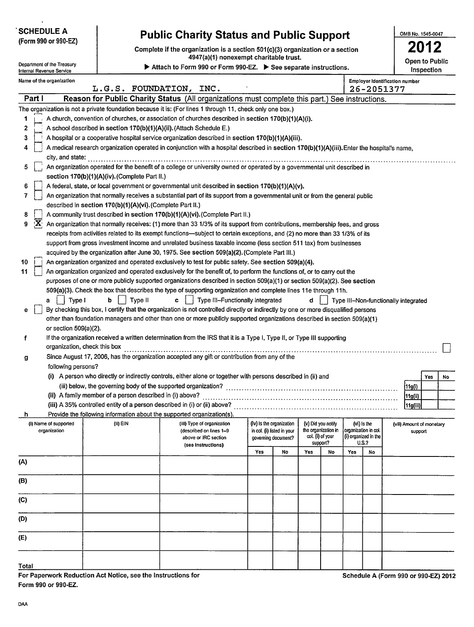| <b>SCHEDULE A</b><br>(Form 990 or 990-EZ)                                                                                                             |                                                            | <b>Public Charity Status and Public Support</b>                                                                                                                                                                                                  |     |                                                        |     |                              |                       |                               | OMB No. 1545-0047                    |                         |  |
|-------------------------------------------------------------------------------------------------------------------------------------------------------|------------------------------------------------------------|--------------------------------------------------------------------------------------------------------------------------------------------------------------------------------------------------------------------------------------------------|-----|--------------------------------------------------------|-----|------------------------------|-----------------------|-------------------------------|--------------------------------------|-------------------------|--|
| Complete if the organization is a section 501(c)(3) organization or a section<br>4947(a)(1) nonexempt charitable trust.<br>Department of the Treasury |                                                            |                                                                                                                                                                                                                                                  |     |                                                        |     |                              | <b>Open to Public</b> |                               |                                      |                         |  |
| Attach to Form 990 or Form 990-EZ. > See separate instructions.<br>Internal Revenue Service                                                           |                                                            |                                                                                                                                                                                                                                                  |     |                                                        |     |                              |                       |                               |                                      | Inspection              |  |
| Name of the organization<br>L.G.S. FOUNDATION, INC.<br>26-2051377                                                                                     |                                                            |                                                                                                                                                                                                                                                  |     |                                                        |     |                              |                       |                               | Employer identification number       |                         |  |
| Part I                                                                                                                                                |                                                            | Reason for Public Charity Status (All organizations must complete this part.) See instructions.                                                                                                                                                  |     |                                                        |     |                              |                       |                               |                                      |                         |  |
|                                                                                                                                                       |                                                            | The organization is not a private foundation because it is: (For lines 1 through 11, check only one box.)                                                                                                                                        |     |                                                        |     |                              |                       |                               |                                      |                         |  |
| 1                                                                                                                                                     |                                                            | A church, convention of churches, or association of churches described in section 170(b)(1)(A)(i).                                                                                                                                               |     |                                                        |     |                              |                       |                               |                                      |                         |  |
| 2                                                                                                                                                     |                                                            | A school described in section 170(b)(1)(A)(ii). (Attach Schedule E.)                                                                                                                                                                             |     |                                                        |     |                              |                       |                               |                                      |                         |  |
| 3                                                                                                                                                     |                                                            | A hospital or a cooperative hospital service organization described in section 170(b)(1)(A)(iii).                                                                                                                                                |     |                                                        |     |                              |                       |                               |                                      |                         |  |
| 4                                                                                                                                                     |                                                            | A medical research organization operated in conjunction with a hospital described in section 170(b)(1)(A)(iii). Enter the hospital's name,                                                                                                       |     |                                                        |     |                              |                       |                               |                                      |                         |  |
| city, and state:                                                                                                                                      |                                                            |                                                                                                                                                                                                                                                  |     |                                                        |     |                              |                       |                               |                                      |                         |  |
| 5                                                                                                                                                     |                                                            | An organization operated for the benefit of a college or university owned or operated by a governmental unit described in                                                                                                                        |     |                                                        |     |                              |                       |                               |                                      |                         |  |
|                                                                                                                                                       | section 170(b)(1)(A)(iv). (Complete Part II.)              |                                                                                                                                                                                                                                                  |     |                                                        |     |                              |                       |                               |                                      |                         |  |
| 6                                                                                                                                                     |                                                            | A federal, state, or local government or governmental unit described in section 170(b)(1)(A)(v).                                                                                                                                                 |     |                                                        |     |                              |                       |                               |                                      |                         |  |
| 7                                                                                                                                                     |                                                            | An organization that normally receives a substantial part of its support from a governmental unit or from the general public                                                                                                                     |     |                                                        |     |                              |                       |                               |                                      |                         |  |
|                                                                                                                                                       | described in section 170(b)(1)(A)(vi). (Complete Part II.) |                                                                                                                                                                                                                                                  |     |                                                        |     |                              |                       |                               |                                      |                         |  |
| 8                                                                                                                                                     |                                                            | A community trust described in section 170(b)(1)(A)(vi). (Complete Part II.)                                                                                                                                                                     |     |                                                        |     |                              |                       |                               |                                      |                         |  |
| $\mathbf{X}$<br>9                                                                                                                                     |                                                            | An organization that normally receives: (1) more than 33 1/3% of its support from contributions, membership fees, and gross                                                                                                                      |     |                                                        |     |                              |                       |                               |                                      |                         |  |
|                                                                                                                                                       |                                                            | receipts from activities related to its exempt functions—subject to certain exceptions, and (2) no more than 33 1/3% of its<br>support from gross investment income and unrelated business taxable income (less section 511 tax) from businesses |     |                                                        |     |                              |                       |                               |                                      |                         |  |
|                                                                                                                                                       |                                                            | acquired by the organization after June 30, 1975. See section 509(a)(2). (Complete Part III.)                                                                                                                                                    |     |                                                        |     |                              |                       |                               |                                      |                         |  |
| 10                                                                                                                                                    |                                                            | An organization organized and operated exclusively to test for public safety. See section 509(a)(4).                                                                                                                                             |     |                                                        |     |                              |                       |                               |                                      |                         |  |
| 11                                                                                                                                                    |                                                            | An organization organized and operated exclusively for the benefit of, to perform the functions of, or to carry out the                                                                                                                          |     |                                                        |     |                              |                       |                               |                                      |                         |  |
|                                                                                                                                                       |                                                            | purposes of one or more publicly supported organizations described in section 509(a)(1) or section 509(a)(2). See section                                                                                                                        |     |                                                        |     |                              |                       |                               |                                      |                         |  |
|                                                                                                                                                       |                                                            | 509(a)(3). Check the box that describes the type of supporting organization and complete lines 11e through 11h.                                                                                                                                  |     |                                                        |     |                              |                       |                               |                                      |                         |  |
| Type I<br>a                                                                                                                                           | Type II<br>b.                                              | Type III-Functionally integrated<br>c.                                                                                                                                                                                                           |     |                                                        | d.  |                              |                       |                               | Type III-Non-functionally integrated |                         |  |
| е                                                                                                                                                     |                                                            | By checking this box, I certify that the organization is not controlled directly or indirectly by one or more disqualified persons                                                                                                               |     |                                                        |     |                              |                       |                               |                                      |                         |  |
|                                                                                                                                                       |                                                            | other than foundation managers and other than one or more publicly supported organizations described in section 509(a)(1)                                                                                                                        |     |                                                        |     |                              |                       |                               |                                      |                         |  |
| or section $509(a)(2)$ .                                                                                                                              |                                                            |                                                                                                                                                                                                                                                  |     |                                                        |     |                              |                       |                               |                                      |                         |  |
| f                                                                                                                                                     |                                                            | If the organization received a written determination from the IRS that it is a Type I, Type II, or Type III supporting                                                                                                                           |     |                                                        |     |                              |                       |                               |                                      |                         |  |
| organization, check this box                                                                                                                          |                                                            |                                                                                                                                                                                                                                                  |     |                                                        |     |                              |                       |                               |                                      |                         |  |
| g                                                                                                                                                     |                                                            | Since August 17, 2006, has the organization accepted any gift or contribution from any of the                                                                                                                                                    |     |                                                        |     |                              |                       |                               |                                      |                         |  |
| following persons?                                                                                                                                    |                                                            |                                                                                                                                                                                                                                                  |     |                                                        |     |                              |                       |                               |                                      |                         |  |
|                                                                                                                                                       |                                                            | (i) A person who directly or indirectly controls, either alone or together with persons described in (ii) and                                                                                                                                    |     |                                                        |     |                              |                       |                               |                                      | <b>Yes</b><br><b>No</b> |  |
|                                                                                                                                                       |                                                            |                                                                                                                                                                                                                                                  |     |                                                        |     |                              |                       |                               | (11g(i)                              |                         |  |
|                                                                                                                                                       |                                                            |                                                                                                                                                                                                                                                  |     |                                                        |     |                              |                       |                               | 11g(ii)                              |                         |  |
|                                                                                                                                                       |                                                            |                                                                                                                                                                                                                                                  |     |                                                        |     |                              |                       |                               | [11g(iii)                            |                         |  |
| h                                                                                                                                                     |                                                            | Provide the following information about the supported organization(s).                                                                                                                                                                           |     |                                                        |     | (v) Did you notify           |                       |                               |                                      |                         |  |
| (i) Name of supported<br>organization                                                                                                                 | $(ii)$ EIN                                                 | (iii) Type of organization<br>(described on lines 1-9                                                                                                                                                                                            |     | (iv) Is the organization<br>in col. (i) listed in your |     | the organization in          | organization in col.  | (vi) is the                   | (vii) Amount of monetary<br>support  |                         |  |
|                                                                                                                                                       |                                                            | above or IRC section                                                                                                                                                                                                                             |     | governing document?                                    |     | col. (i) of your<br>support? |                       | (i) organized in the<br>U.S.? |                                      |                         |  |
|                                                                                                                                                       |                                                            | (see instructions)                                                                                                                                                                                                                               | Yes | No                                                     | Yes | No                           | Yes                   | No                            |                                      |                         |  |
| (A)                                                                                                                                                   |                                                            |                                                                                                                                                                                                                                                  |     |                                                        |     |                              |                       |                               |                                      |                         |  |
|                                                                                                                                                       |                                                            |                                                                                                                                                                                                                                                  |     |                                                        |     |                              |                       |                               |                                      |                         |  |
| (B)                                                                                                                                                   |                                                            |                                                                                                                                                                                                                                                  |     |                                                        |     |                              |                       |                               |                                      |                         |  |
|                                                                                                                                                       |                                                            |                                                                                                                                                                                                                                                  |     |                                                        |     |                              |                       |                               |                                      |                         |  |
| (C)                                                                                                                                                   |                                                            |                                                                                                                                                                                                                                                  |     |                                                        |     |                              |                       |                               |                                      |                         |  |
| (D)                                                                                                                                                   |                                                            |                                                                                                                                                                                                                                                  |     |                                                        |     |                              |                       |                               |                                      |                         |  |
| (E)                                                                                                                                                   |                                                            |                                                                                                                                                                                                                                                  |     |                                                        |     |                              |                       |                               |                                      |                         |  |
|                                                                                                                                                       |                                                            |                                                                                                                                                                                                                                                  |     |                                                        |     |                              |                       |                               |                                      |                         |  |
| <b>Total</b>                                                                                                                                          |                                                            |                                                                                                                                                                                                                                                  |     |                                                        |     |                              |                       |                               |                                      |                         |  |
|                                                                                                                                                       |                                                            |                                                                                                                                                                                                                                                  |     |                                                        |     |                              |                       |                               |                                      |                         |  |

For Paperwork Reduction Act Notice, see the Instructions for Schedule A (Form 990 or 990-EZ) 2012 Form 990 or 990-EZ.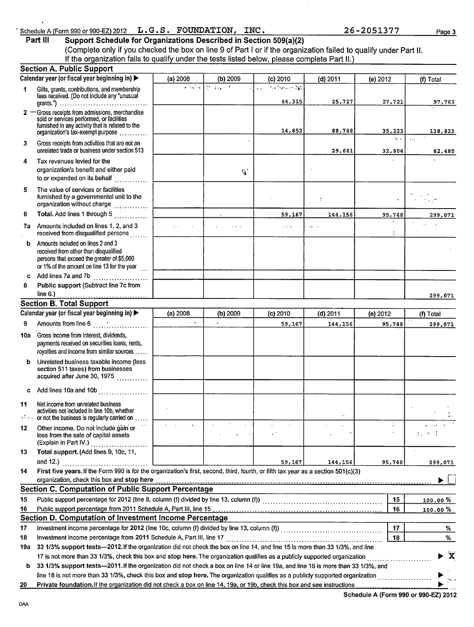# Schedule A (Form 990 or 990-EZ) 2012 L.G.S. FOUNDATION, INC.<br>Part III Support Schedule for Organizations Described in Section 509(a)(2)

 $\bar{z}$ 

**Part Ill Support Schedule for Organizations Described in Section 509(a)(2)** (Complete only if you checked the box on line 9 of Part I or if the organization failed to qualify under Part II. If the organization fails to qualify under the tests listed below, please complete Part II.)

|                 | <b>Section A. Public Support</b>                                                                                                                                                                                                                                                  |            |                                                                 |                                          |                           |                                                                   |                         |
|-----------------|-----------------------------------------------------------------------------------------------------------------------------------------------------------------------------------------------------------------------------------------------------------------------------------|------------|-----------------------------------------------------------------|------------------------------------------|---------------------------|-------------------------------------------------------------------|-------------------------|
|                 | Calendar year (or fiscal year beginning in) >                                                                                                                                                                                                                                     | (a) $2008$ | (b) 2009                                                        | $(c)$ 2010                               | $(d)$ 2011                | (e) 2012                                                          | (f) Total               |
| 1               | Gifts, grants, contributions, and membership<br>fees received. (Do not include any "unusual                                                                                                                                                                                       |            | $\sqrt{3\sqrt{3} \sqrt{3} \sqrt{2} \sqrt{2} \sqrt{2} \sqrt{2}}$ | <b>Authentick NA</b><br>$\sim$<br>44,315 | 25,727                    | 27,721                                                            | 97,763                  |
|                 | grants.") $\ldots \ldots \ldots \ldots \ldots \ldots \ldots \ldots \ldots \ldots \ldots$<br>2 - Gross receipts from admissions, merchandise<br>sold or services performed, or facilities<br>furnished in any activity that is related to the<br>organization's tax-exempt purpose |            |                                                                 | 14,852                                   | 88,748                    | 35,223                                                            | 138,823                 |
| 3               | Gross receipts from activities that are not an<br>unrelated trade or business under section 513                                                                                                                                                                                   |            |                                                                 |                                          | 29,681                    | $\mathbf{r}_{\mathrm{eff}} = \mathbf{r}_{\mathrm{eff}}$<br>32,804 | $\sim$ .<br>62,485      |
| 4               | Tax revenues levied for the<br>organization's benefit and either paid<br>to or expended on its behalf                                                                                                                                                                             |            | $\mathcal{L}_{\mathbf{k}}$                                      |                                          |                           |                                                                   |                         |
| 5               | The value of services or facilities<br>furnished by a governmental unit to the<br>organization without charge                                                                                                                                                                     |            |                                                                 |                                          | $\frac{1}{2}$             |                                                                   | r yin                   |
| 6               | Total. Add lines 1 through 5                                                                                                                                                                                                                                                      |            |                                                                 | 59,167                                   | 144,156                   | 95,748                                                            | 299,071                 |
|                 | 7a Amounts included on lines 1, 2, and 3<br>received from disqualified persons                                                                                                                                                                                                    | al a ca    | $\sim 100$ km s $^{-1}$                                         | $\sim$ $\sim$ $\sim$                     | $\mathbf{r} = \mathbf{r}$ | $\bullet$                                                         | $\sim$                  |
| b.              | Amounts included on lines 2 and 3<br>received from other than disqualified<br>persons that exceed the greater of \$5,000<br>or 1% of the amount on line 13 for the year $\frac{1}{11}$                                                                                            |            |                                                                 |                                          |                           |                                                                   |                         |
|                 | c Add lines 7a and 7b $\ldots$                                                                                                                                                                                                                                                    |            |                                                                 |                                          |                           |                                                                   |                         |
| 8               | Public support (Subtract line 7c from                                                                                                                                                                                                                                             |            |                                                                 |                                          |                           |                                                                   | 299,071                 |
|                 | <b>Section B. Total Support</b>                                                                                                                                                                                                                                                   |            |                                                                 |                                          |                           |                                                                   |                         |
|                 | Calendar year (or fiscal year beginning in) >                                                                                                                                                                                                                                     | (a) 2008   | (b) 2009                                                        | $(c)$ 2010                               | $(d)$ 2011                | (e) 2012                                                          | (f) Total               |
| 9               | Amounts from line 6                                                                                                                                                                                                                                                               | $\bullet$  | $\bullet$ .                                                     | 59,167                                   | 144,156                   | 95,748                                                            | 299,071                 |
| 10a             | Gross income from interest, dividends,<br>payments received on securities loans, rents,<br>royalties and income from similar sources                                                                                                                                              |            |                                                                 |                                          |                           |                                                                   |                         |
|                 | <b>b</b> Unrelated business taxable income (less<br>section 511 taxes) from businesses<br>acquired after June 30, 1975                                                                                                                                                            |            |                                                                 |                                          |                           |                                                                   |                         |
| c.              | Add lines 10a and 10b                                                                                                                                                                                                                                                             |            |                                                                 |                                          |                           |                                                                   |                         |
| 11<br>.         | Net income from unrelated business<br>activities not included in line 10b, whether<br>or not the business is regularly carried on.                                                                                                                                                |            |                                                                 |                                          | $\epsilon$ .              |                                                                   |                         |
| 12              | Other income. Do not include gain or<br>loss from the sale of capital assets<br>(Explain in Part IV.)                                                                                                                                                                             |            |                                                                 |                                          |                           |                                                                   | $1.1 \times 10^{-12}$   |
| 13              | Total support. (Add lines 9, 10c, 11,                                                                                                                                                                                                                                             |            |                                                                 |                                          |                           |                                                                   |                         |
|                 | and 12.) $\qquad \qquad$                                                                                                                                                                                                                                                          |            |                                                                 | 59,167                                   | 144,156                   | 95,748                                                            | 299,071                 |
| 14              | First five years. If the Form 990 is for the organization's first, second, third, fourth, or fifth tax year as a section 501(c)(3)                                                                                                                                                |            |                                                                 |                                          |                           |                                                                   |                         |
|                 | organization, check this box and stop here                                                                                                                                                                                                                                        |            |                                                                 |                                          |                           |                                                                   |                         |
|                 | <b>Section C. Computation of Public Support Percentage</b>                                                                                                                                                                                                                        |            |                                                                 |                                          |                           |                                                                   |                         |
| 15              |                                                                                                                                                                                                                                                                                   |            |                                                                 |                                          |                           | 15                                                                | <u>100.00%</u>          |
| 16              | Section D. Computation of Investment Income Percentage                                                                                                                                                                                                                            |            |                                                                 |                                          |                           | 16                                                                | $100.00 \%$             |
| 17              |                                                                                                                                                                                                                                                                                   |            |                                                                 |                                          |                           | 17                                                                |                         |
| 18              | Investment income percentage from 2011 Schedule A, Part III, line 17                                                                                                                                                                                                              |            |                                                                 |                                          |                           | 18                                                                | %<br>%                  |
| 19a             | 33 1/3% support tests—2012. If the organization did not check the box on line 14, and line 15 is more than 33 1/3%, and line                                                                                                                                                      |            |                                                                 |                                          |                           |                                                                   |                         |
|                 | 17 is not more than 33 1/3%, check this box and stop here. The organization qualifies as a publicly supported organization                                                                                                                                                        |            |                                                                 |                                          |                           |                                                                   | $\overline{\mathbf{X}}$ |
| b               | 33 1/3% support tests—2011. If the organization did not check a box on line 14 or line 19a, and line 16 is more than 33 1/3%, and                                                                                                                                                 |            |                                                                 |                                          |                           |                                                                   |                         |
|                 | line 18 is not more than 33 1/3%, check this box and stop here. The organization qualifies as a publicly supported organization                                                                                                                                                   |            |                                                                 |                                          |                           |                                                                   | .                       |
| $\overline{20}$ | Private foundation. If the organization did not check a box on line 14, 19a, or 19b, check this box and see instructions                                                                                                                                                          |            |                                                                 |                                          |                           |                                                                   |                         |

Schedule A (Form 990 or 990-EZ) 2012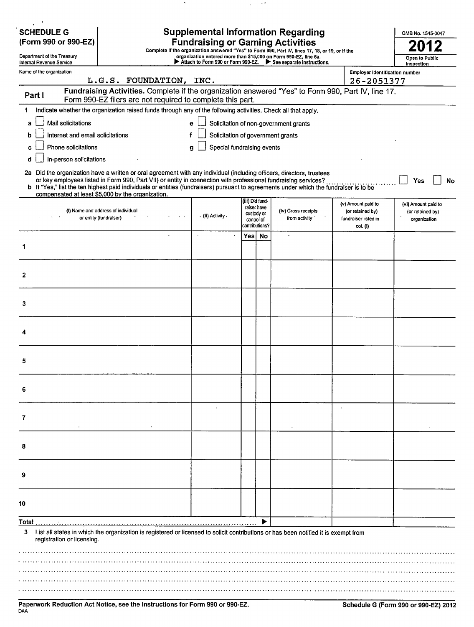| <b>SCHEDULE G</b>                                      |                                                                                                                                                                                                                                                                                                                                                                                                                                        |                                                                 |                                                           |  | <b>Supplemental Information Regarding</b> |                                                                            | OMB No. 1545-0047                                       |  |
|--------------------------------------------------------|----------------------------------------------------------------------------------------------------------------------------------------------------------------------------------------------------------------------------------------------------------------------------------------------------------------------------------------------------------------------------------------------------------------------------------------|-----------------------------------------------------------------|-----------------------------------------------------------|--|-------------------------------------------|----------------------------------------------------------------------------|---------------------------------------------------------|--|
| (Form 990 or 990-EZ)                                   | <b>Fundraising or Gaming Activities</b><br>Complete if the organization answered "Yes" to Form 990, Part IV, lines 17, 18, or 19, or if the                                                                                                                                                                                                                                                                                            |                                                                 |                                                           |  |                                           |                                                                            |                                                         |  |
| Department of the Treasury<br>Internal Revenue Service |                                                                                                                                                                                                                                                                                                                                                                                                                                        | Open to Public<br>Inspection                                    |                                                           |  |                                           |                                                                            |                                                         |  |
| Name of the organization                               |                                                                                                                                                                                                                                                                                                                                                                                                                                        | Attach to Form 990 or Form 990-EZ. > See separate instructions. | <b>Employer identification number</b>                     |  |                                           |                                                                            |                                                         |  |
|                                                        | L.G.S. FOUNDATION, INC.                                                                                                                                                                                                                                                                                                                                                                                                                |                                                                 |                                                           |  |                                           | 26-2051377                                                                 |                                                         |  |
| Part I                                                 | Fundraising Activities. Complete if the organization answered "Yes" to Form 990, Part IV, line 17.<br>Form 990-EZ filers are not required to complete this part.                                                                                                                                                                                                                                                                       |                                                                 |                                                           |  |                                           |                                                                            |                                                         |  |
|                                                        | Indicate whether the organization raised funds through any of the following activities. Check all that apply.                                                                                                                                                                                                                                                                                                                          |                                                                 |                                                           |  |                                           |                                                                            |                                                         |  |
| Mail solicitations<br>a                                |                                                                                                                                                                                                                                                                                                                                                                                                                                        | е                                                               |                                                           |  | Solicitation of non-government grants     |                                                                            |                                                         |  |
| Internet and email solicitations<br>b                  |                                                                                                                                                                                                                                                                                                                                                                                                                                        | Solicitation of government grants                               |                                                           |  |                                           |                                                                            |                                                         |  |
| Phone solicitations<br>c                               |                                                                                                                                                                                                                                                                                                                                                                                                                                        | Special fundraising events<br>g                                 |                                                           |  |                                           |                                                                            |                                                         |  |
| In-person solicitations<br>d                           |                                                                                                                                                                                                                                                                                                                                                                                                                                        |                                                                 |                                                           |  |                                           |                                                                            |                                                         |  |
|                                                        | 2a Did the organization have a written or oral agreement with any individual (including officers, directors, trustees<br>or key employees listed in Form 990, Part VII) or entity in connection with professional fundraising services?<br>b If "Yes," list the ten highest paid individuals or entities (fundraisers) pursuant to agreements under which the fundraiser is to be<br>compensated at least \$5,000 by the organization. |                                                                 | (iii) Did fund-                                           |  |                                           |                                                                            | Yes<br>No                                               |  |
|                                                        | (i) Name and address of individual<br>or entity (fundraiser)                                                                                                                                                                                                                                                                                                                                                                           | . (ii) Activity .                                               | raiser have<br>custody or<br>control of<br>contributions? |  | (Iv) Gross receipts<br>from activity      | (v) Amount paid to<br>(or retained by)<br>fundraiser listed in<br>col. (i) | (vi) Amount paid to<br>(or retained by)<br>organization |  |
|                                                        | $\mathbf{r}$                                                                                                                                                                                                                                                                                                                                                                                                                           | $\bullet$                                                       | Yes  No                                                   |  | $\cdot$                                   |                                                                            |                                                         |  |
| 1                                                      |                                                                                                                                                                                                                                                                                                                                                                                                                                        |                                                                 |                                                           |  |                                           |                                                                            |                                                         |  |
|                                                        |                                                                                                                                                                                                                                                                                                                                                                                                                                        |                                                                 |                                                           |  |                                           |                                                                            |                                                         |  |
| 2                                                      |                                                                                                                                                                                                                                                                                                                                                                                                                                        |                                                                 |                                                           |  |                                           |                                                                            |                                                         |  |
| 3                                                      |                                                                                                                                                                                                                                                                                                                                                                                                                                        |                                                                 |                                                           |  |                                           |                                                                            |                                                         |  |
| 4                                                      |                                                                                                                                                                                                                                                                                                                                                                                                                                        |                                                                 |                                                           |  |                                           |                                                                            |                                                         |  |
|                                                        |                                                                                                                                                                                                                                                                                                                                                                                                                                        |                                                                 |                                                           |  |                                           |                                                                            |                                                         |  |
| 5                                                      |                                                                                                                                                                                                                                                                                                                                                                                                                                        |                                                                 |                                                           |  |                                           |                                                                            |                                                         |  |
| 6                                                      |                                                                                                                                                                                                                                                                                                                                                                                                                                        |                                                                 |                                                           |  |                                           |                                                                            |                                                         |  |
| 7                                                      |                                                                                                                                                                                                                                                                                                                                                                                                                                        |                                                                 |                                                           |  |                                           |                                                                            |                                                         |  |
| 8                                                      |                                                                                                                                                                                                                                                                                                                                                                                                                                        |                                                                 |                                                           |  |                                           |                                                                            |                                                         |  |
|                                                        |                                                                                                                                                                                                                                                                                                                                                                                                                                        |                                                                 |                                                           |  |                                           |                                                                            |                                                         |  |
|                                                        |                                                                                                                                                                                                                                                                                                                                                                                                                                        |                                                                 |                                                           |  |                                           |                                                                            |                                                         |  |
| 10                                                     |                                                                                                                                                                                                                                                                                                                                                                                                                                        |                                                                 |                                                           |  |                                           |                                                                            |                                                         |  |
| Total.                                                 |                                                                                                                                                                                                                                                                                                                                                                                                                                        |                                                                 |                                                           |  |                                           |                                                                            |                                                         |  |
| 3<br>registration or licensing.                        | List all states in which the organization is registered or licensed to solicit contributions or has been notified it is exempt from                                                                                                                                                                                                                                                                                                    |                                                                 |                                                           |  |                                           |                                                                            |                                                         |  |
|                                                        |                                                                                                                                                                                                                                                                                                                                                                                                                                        |                                                                 |                                                           |  |                                           |                                                                            |                                                         |  |
|                                                        |                                                                                                                                                                                                                                                                                                                                                                                                                                        |                                                                 |                                                           |  |                                           |                                                                            |                                                         |  |
|                                                        |                                                                                                                                                                                                                                                                                                                                                                                                                                        |                                                                 |                                                           |  |                                           |                                                                            |                                                         |  |
|                                                        |                                                                                                                                                                                                                                                                                                                                                                                                                                        |                                                                 |                                                           |  |                                           |                                                                            |                                                         |  |

 $\hat{\phantom{a}}$ 

 $\hat{\mathcal{A}}$  $\sim$   $\sim$   $\sigma$ 

Paperwork Reduction Act Notice, see the Instructions for Form 990 or 990-EZ. Schedule G (Form 990 or 990-EZ) 2012<br><sup>DAA</sup>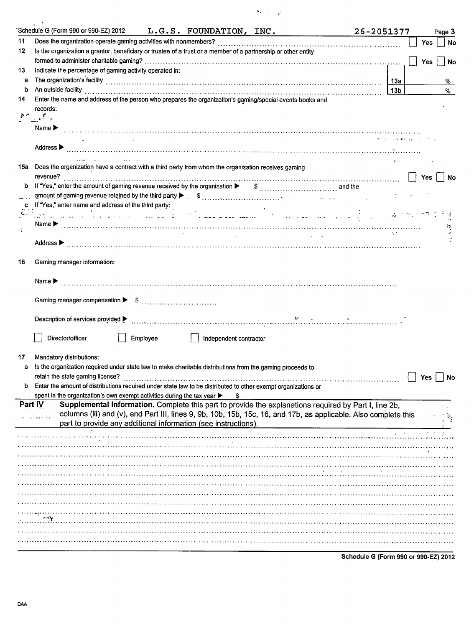| ٠.<br>w |  | 1 |
|---------|--|---|
|---------|--|---|

|    | 'Schedule G (Form 990 or 990-EZ) 2012 $L.G.S.$ FOUNDATION, INC.                                                                                                                                                                      | 26-2051377 |                 |                         |            | Page 3    |
|----|--------------------------------------------------------------------------------------------------------------------------------------------------------------------------------------------------------------------------------------|------------|-----------------|-------------------------|------------|-----------|
| 11 |                                                                                                                                                                                                                                      |            |                 |                         | Yes        | No        |
| 12 | Is the organization a grantor, beneficiary or trustee of a trust or a member of a partnership or other entity                                                                                                                        |            |                 |                         |            |           |
|    |                                                                                                                                                                                                                                      |            |                 |                         | <b>Yes</b> | No        |
| 13 | Indicate the percentage of gaming activity operated in:                                                                                                                                                                              |            |                 |                         |            |           |
| a  |                                                                                                                                                                                                                                      |            |                 |                         |            | %         |
| b  |                                                                                                                                                                                                                                      |            | 13 <sub>b</sub> |                         |            | %         |
| 14 | Enter the name and address of the person who prepares the organization's gaming/special events books and                                                                                                                             |            |                 |                         |            |           |
|    | records:                                                                                                                                                                                                                             |            |                 |                         |            |           |
|    | $\mathbb{M}^p_{\mathbb{Z} \times \mathbb{R}^n} \subseteq \mathbb{Z}$                                                                                                                                                                 |            |                 |                         |            |           |
|    |                                                                                                                                                                                                                                      |            |                 |                         |            |           |
|    |                                                                                                                                                                                                                                      |            |                 |                         |            |           |
|    |                                                                                                                                                                                                                                      |            |                 |                         |            |           |
|    |                                                                                                                                                                                                                                      |            |                 |                         |            |           |
|    | 15a Does the organization have a contract with a third party from whom the organization receives gaming                                                                                                                              |            |                 |                         |            |           |
| b  | revenue?                                                                                                                                                                                                                             |            |                 | Yes                     |            | No        |
|    |                                                                                                                                                                                                                                      |            |                 |                         |            |           |
|    |                                                                                                                                                                                                                                      |            |                 |                         |            |           |
|    | If "Yes," enter name and address of the third party:<br>$\frac{1}{2}$ and the contract of the contract of the contract of the contract of the contract of the contract of the contract of the contract of the contract of the contra |            |                 | <b>Contract Advisor</b> |            |           |
|    |                                                                                                                                                                                                                                      |            |                 |                         |            |           |
|    | <b>Carl Carl</b><br><b>Contractor</b>                                                                                                                                                                                                |            |                 |                         |            |           |
|    |                                                                                                                                                                                                                                      |            |                 |                         |            |           |
|    |                                                                                                                                                                                                                                      |            |                 |                         |            |           |
| 16 | Gaming manager information:                                                                                                                                                                                                          |            |                 |                         |            |           |
|    |                                                                                                                                                                                                                                      |            |                 |                         |            |           |
|    | Name $\blacktriangleright$                                                                                                                                                                                                           |            |                 |                         |            |           |
|    |                                                                                                                                                                                                                                      |            |                 |                         |            |           |
|    |                                                                                                                                                                                                                                      |            |                 |                         |            |           |
|    |                                                                                                                                                                                                                                      |            |                 |                         |            |           |
|    |                                                                                                                                                                                                                                      |            |                 |                         |            |           |
|    | Director/officer<br>Employee                                                                                                                                                                                                         |            |                 |                         |            |           |
|    | Independent contractor                                                                                                                                                                                                               |            |                 |                         |            |           |
| 17 | Mandatory distributions:                                                                                                                                                                                                             |            |                 |                         |            |           |
|    | Is the organization required under state law to make charitable distributions from the gaming proceeds to                                                                                                                            |            |                 |                         |            |           |
|    | retain the state gaming license?                                                                                                                                                                                                     |            |                 | Yes                     |            | <b>No</b> |
|    | Enter the amount of distributions required under state law to be distributed to other exempt organizations or                                                                                                                        |            |                 |                         |            |           |
|    | spent in the organization's own exempt activities during the tax year ><br>S                                                                                                                                                         |            |                 |                         |            |           |
|    | Part IV<br>Supplemental Information. Complete this part to provide the explanations required by Part I, line 2b,                                                                                                                     |            |                 |                         |            |           |
|    | columns (iii) and (v), and Part III, lines 9, 9b, 10b, 15b, 15c, 16, and 17b, as applicable. Also complete this                                                                                                                      |            |                 |                         |            |           |
|    | part to provide any additional information (see instructions).                                                                                                                                                                       |            |                 |                         |            |           |
|    |                                                                                                                                                                                                                                      |            |                 |                         |            |           |
|    |                                                                                                                                                                                                                                      |            |                 |                         |            |           |
|    |                                                                                                                                                                                                                                      |            |                 |                         |            |           |
|    |                                                                                                                                                                                                                                      |            |                 |                         |            |           |
|    |                                                                                                                                                                                                                                      |            |                 |                         |            |           |
|    |                                                                                                                                                                                                                                      |            |                 |                         |            |           |
|    |                                                                                                                                                                                                                                      |            |                 |                         |            |           |
|    |                                                                                                                                                                                                                                      |            |                 |                         |            |           |
|    |                                                                                                                                                                                                                                      |            |                 |                         |            |           |
|    |                                                                                                                                                                                                                                      |            |                 |                         |            |           |
|    |                                                                                                                                                                                                                                      |            |                 |                         |            |           |
|    |                                                                                                                                                                                                                                      |            |                 |                         |            |           |
|    |                                                                                                                                                                                                                                      |            |                 |                         |            |           |

**Schedule G (Form 990 or 990-EZ) 2012**